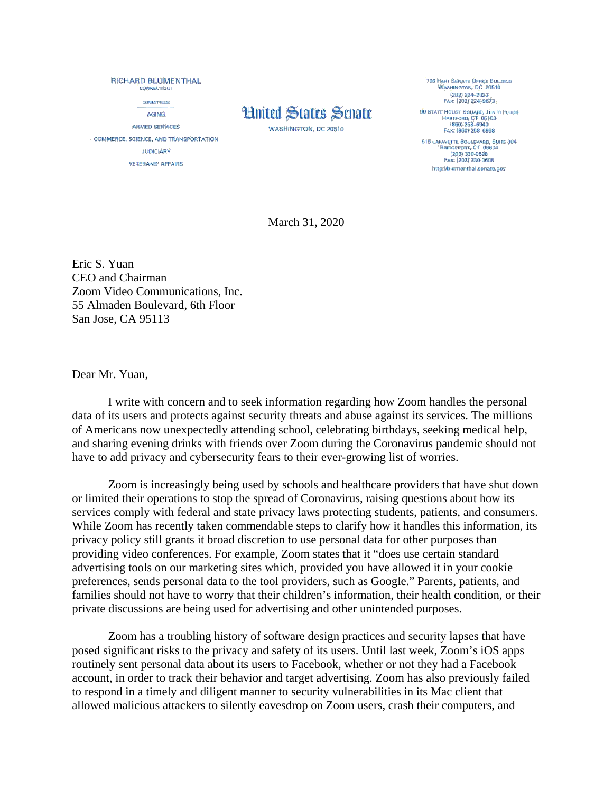RICHARD BLUMENTHAL **COMMECTICUT COMMITTEES: AGING** ARMED SERVICES COMMERCE, SCIENCE, AND TRANSPORTATION **JUDICIARY VETERANS' AFFAIRS** 

## **Hnited States Senate**

**WASHINGTON, DC 20510** 

**706 HART SENATE OFFICE BUILDING** WASHINGTON, DC 20510 **(202) 224-2823**  $(202)$  224–2823<br>Fax: (202) 224–9673 **90 STATE HOUSE SOUARE, TENTH FLOOR** HARTFORD; CT 06103<br>(860) 258-6940<br>FAX: {860) 258-6958 915 LAFANETTE BOULEVARD, SUITE 304 BRIDGEFORT, CT 06604 FAX: (203) 330-0608 http://blumenthal.senate.gov

March 31, 2020

Eric S. Yuan CEO and Chairman Zoom Video Communications, Inc. 55 Almaden Boulevard, 6th Floor San Jose, CA 95113

Dear Mr. Yuan,

I write with concern and to seek information regarding how Zoom handles the personal data of its users and protects against security threats and abuse against its services. The millions of Americans now unexpectedly attending school, celebrating birthdays, seeking medical help, and sharing evening drinks with friends over Zoom during the Coronavirus pandemic should not have to add privacy and cybersecurity fears to their ever-growing list of worries.

Zoom is increasingly being used by schools and healthcare providers that have shut down or limited their operations to stop the spread of Coronavirus, raising questions about how its services comply with federal and state privacy laws protecting students, patients, and consumers. While Zoom has recently taken commendable steps to clarify how it handles this information, its privacy policy still grants it broad discretion to use personal data for other purposes than providing video conferences. For example, Zoom states that it "does use certain standard advertising tools on our marketing sites which, provided you have allowed it in your cookie preferences, sends personal data to the tool providers, such as Google." Parents, patients, and families should not have to worry that their children's information, their health condition, or their private discussions are being used for advertising and other unintended purposes.

Zoom has a troubling history of software design practices and security lapses that have posed significant risks to the privacy and safety of its users. Until last week, Zoom's iOS apps routinely sent personal data about its users to Facebook, whether or not they had a Facebook account, in order to track their behavior and target advertising. Zoom has also previously failed to respond in a timely and diligent manner to security vulnerabilities in its Mac client that allowed malicious attackers to silently eavesdrop on Zoom users, crash their computers, and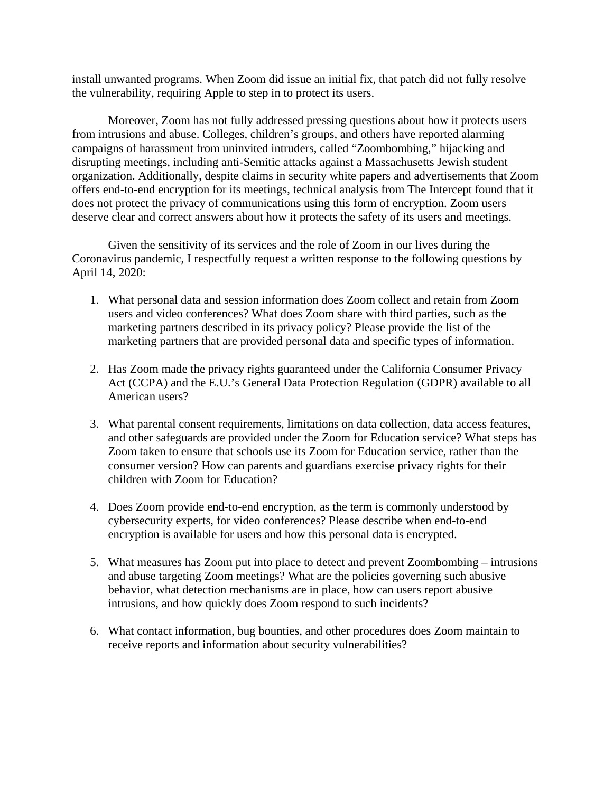install unwanted programs. When Zoom did issue an initial fix, that patch did not fully resolve the vulnerability, requiring Apple to step in to protect its users.

Moreover, Zoom has not fully addressed pressing questions about how it protects users from intrusions and abuse. Colleges, children's groups, and others have reported alarming campaigns of harassment from uninvited intruders, called "Zoombombing," hijacking and disrupting meetings, including anti-Semitic attacks against a Massachusetts Jewish student organization. Additionally, despite claims in security white papers and advertisements that Zoom offers end-to-end encryption for its meetings, technical analysis from The Intercept found that it does not protect the privacy of communications using this form of encryption. Zoom users deserve clear and correct answers about how it protects the safety of its users and meetings.

Given the sensitivity of its services and the role of Zoom in our lives during the Coronavirus pandemic, I respectfully request a written response to the following questions by April 14, 2020:

- 1. What personal data and session information does Zoom collect and retain from Zoom users and video conferences? What does Zoom share with third parties, such as the marketing partners described in its privacy policy? Please provide the list of the marketing partners that are provided personal data and specific types of information.
- 2. Has Zoom made the privacy rights guaranteed under the California Consumer Privacy Act (CCPA) and the E.U.'s General Data Protection Regulation (GDPR) available to all American users?
- 3. What parental consent requirements, limitations on data collection, data access features, and other safeguards are provided under the Zoom for Education service? What steps has Zoom taken to ensure that schools use its Zoom for Education service, rather than the consumer version? How can parents and guardians exercise privacy rights for their children with Zoom for Education?
- 4. Does Zoom provide end-to-end encryption, as the term is commonly understood by cybersecurity experts, for video conferences? Please describe when end-to-end encryption is available for users and how this personal data is encrypted.
- 5. What measures has Zoom put into place to detect and prevent Zoombombing intrusions and abuse targeting Zoom meetings? What are the policies governing such abusive behavior, what detection mechanisms are in place, how can users report abusive intrusions, and how quickly does Zoom respond to such incidents?
- 6. What contact information, bug bounties, and other procedures does Zoom maintain to receive reports and information about security vulnerabilities?